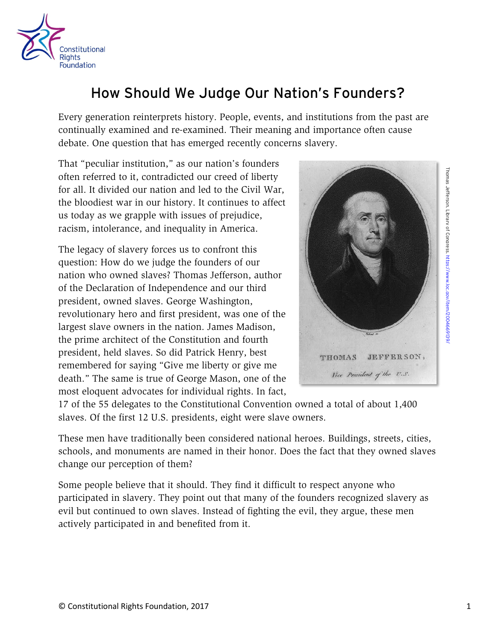

## How Should We Judge Our Nation's Founders?

Every generation reinterprets history. People, events, and institutions from the past are continually examined and re-examined. Their meaning and importance often cause debate. One question that has emerged recently concerns slavery.

That "peculiar institution," as our nation's founders often referred to it, contradicted our creed of liberty for all. It divided our nation and led to the Civil War, the bloodiest war in our history. It continues to affect us today as we grapple with issues of prejudice, racism, intolerance, and inequality in America.

The legacy of slavery forces us to confront this question: How do we judge the founders of our nation who owned slaves? Thomas Jefferson, author of the Declaration of Independence and our third president, owned slaves. George Washington, revolutionary hero and first president, was one of the largest slave owners in the nation. James Madison, the prime architect of the Constitution and fourth president, held slaves. So did Patrick Henry, best remembered for saying "Give me liberty or give me death." The same is true of George Mason, one of the most eloquent advocates for individual rights. In fact,



17 of the 55 delegates to the Constitutional Convention owned a total of about 1,400 slaves. Of the first 12 U.S. presidents, eight were slave owners.

These men have traditionally been considered national heroes. Buildings, streets, cities, schools, and monuments are named in their honor. Does the fact that they owned slaves change our perception of them?

Some people believe that it should. They find it difficult to respect anyone who participated in slavery. They point out that many of the founders recognized slavery as evil but continued to own slaves. Instead of fighting the evil, they argue, these men actively participated in and benefited from it.